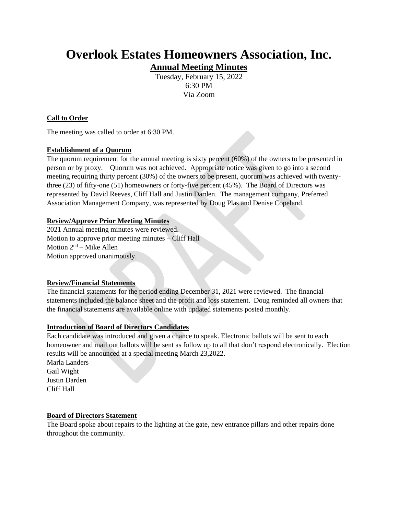# **Overlook Estates Homeowners Association, Inc. Annual Meeting Minutes**

Tuesday, February 15, 2022 6:30 PM Via Zoom

# **Call to Order**

The meeting was called to order at 6:30 PM.

## **Establishment of a Quorum**

The quorum requirement for the annual meeting is sixty percent (60%) of the owners to be presented in person or by proxy. Quorum was not achieved. Appropriate notice was given to go into a second meeting requiring thirty percent (30%) of the owners to be present, quorum was achieved with twentythree (23) of fifty-one (51) homeowners or forty-five percent (45%). The Board of Directors was represented by David Reeves, Cliff Hall and Justin Darden. The management company, Preferred Association Management Company, was represented by Doug Plas and Denise Copeland.

## **Review/Approve Prior Meeting Minutes**

2021 Annual meeting minutes were reviewed. Motion to approve prior meeting minutes – Cliff Hall Motion  $2<sup>nd</sup> - Mike Allen$ Motion approved unanimously.

## **Review/Financial Statements**

The financial statements for the period ending December 31, 2021 were reviewed. The financial statements included the balance sheet and the profit and loss statement. Doug reminded all owners that the financial statements are available online with updated statements posted monthly.

## **Introduction of Board of Directors Candidates**

Each candidate was introduced and given a chance to speak. Electronic ballots will be sent to each homeowner and mail out ballots will be sent as follow up to all that don't respond electronically. Election results will be announced at a special meeting March 23,2022.

Marla Landers Gail Wight Justin Darden Cliff Hall

## **Board of Directors Statement**

The Board spoke about repairs to the lighting at the gate, new entrance pillars and other repairs done throughout the community.